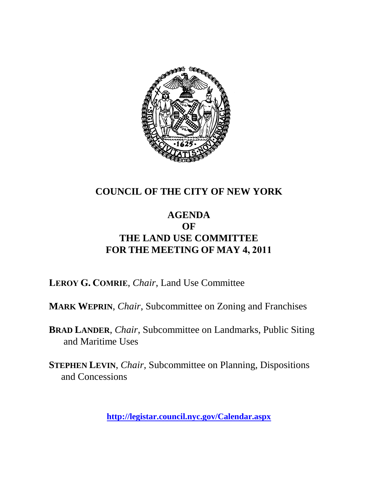

### **COUNCIL OF THE CITY OF NEW YORK**

### **AGENDA OF THE LAND USE COMMITTEE FOR THE MEETING OF MAY 4, 2011**

**LEROY G. COMRIE**, *Chair*, Land Use Committee

**MARK WEPRIN**, *Chair*, Subcommittee on Zoning and Franchises

**BRAD LANDER**, *Chair*, Subcommittee on Landmarks, Public Siting and Maritime Uses

**STEPHEN LEVIN**, *Chair,* Subcommittee on Planning, Dispositions and Concessions

**<http://legistar.council.nyc.gov/Calendar.aspx>**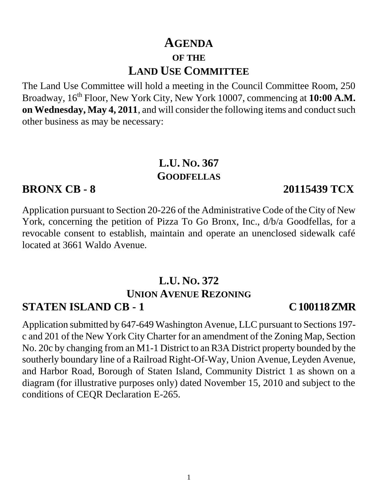## **AGENDA OF THE LAND USE COMMITTEE**

The Land Use Committee will hold a meeting in the Council Committee Room, 250 Broadway, 16<sup>th</sup> Floor, New York City, New York 10007, commencing at **10:00 A.M. on Wednesday, May 4, 2011**, and will consider the following items and conduct such other business as may be necessary:

## **L.U. NO. 367 GOODFELLAS**

### **BRONX CB - 8 20115439 TCX**

Application pursuant to Section 20-226 of the Administrative Code of the City of New York, concerning the petition of Pizza To Go Bronx, Inc., d/b/a Goodfellas, for a revocable consent to establish, maintain and operate an unenclosed sidewalk café located at 3661 Waldo Avenue.

#### **L.U. NO. 372 UNION AVENUE REZONING STATEN ISLAND CB - 1 C 100118 ZMR**

#### Application submitted by 647-649 Washington Avenue, LLC pursuant to Sections 197 c and 201 of the New York City Charter for an amendment of the Zoning Map, Section No. 20c by changing from an M1-1 District to an R3A District property bounded by the southerly boundary line of a Railroad Right-Of-Way, Union Avenue, Leyden Avenue, and Harbor Road, Borough of Staten Island, Community District 1 as shown on a diagram (for illustrative purposes only) dated November 15, 2010 and subject to the conditions of CEQR Declaration E-265.

1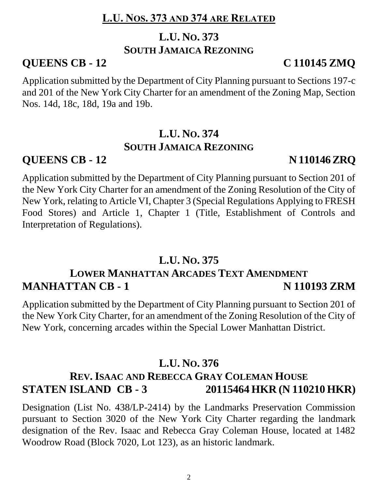### **L.U. NOS. 373 AND 374 ARE RELATED**

# **L.U. NO. 373**

#### **SOUTH JAMAICA REZONING**

## **QUEENS CB - 12 C 110145 ZMQ**

Application submitted by the Department of City Planning pursuant to Sections 197-c and 201 of the New York City Charter for an amendment of the Zoning Map, Section Nos. 14d, 18c, 18d, 19a and 19b.

## **L.U. NO. 374 SOUTH JAMAICA REZONING**

## **QUEENS CB - 12 N 110146 ZRQ**

Application submitted by the Department of City Planning pursuant to Section 201 of the New York City Charter for an amendment of the Zoning Resolution of the City of New York, relating to Article VI, Chapter 3 (Special Regulations Applying to FRESH Food Stores) and Article 1, Chapter 1 (Title, Establishment of Controls and Interpretation of Regulations).

## **L.U. NO. 375**

## **LOWER MANHATTAN ARCADES TEXT AMENDMENT MANHATTAN CB - 1 N 110193 ZRM**

Application submitted by the Department of City Planning pursuant to Section 201 of the New York City Charter, for an amendment of the Zoning Resolution of the City of New York, concerning arcades within the Special Lower Manhattan District.

## **L.U. NO. 376**

## **REV. ISAAC AND REBECCA GRAY COLEMAN HOUSE STATEN ISLAND CB - 3 20115464 HKR (N 110210 HKR)**

Designation (List No. 438/LP-2414) by the Landmarks Preservation Commission pursuant to Section 3020 of the New York City Charter regarding the landmark designation of the Rev. Isaac and Rebecca Gray Coleman House, located at 1482 Woodrow Road (Block 7020, Lot 123), as an historic landmark.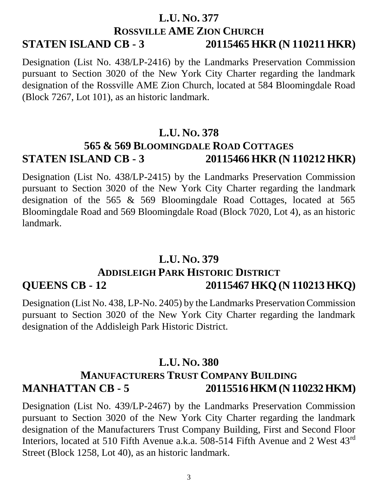### **L.U. NO. 377 ROSSVILLE AME ZION CHURCH STATEN ISLAND CB - 3 20115465 HKR (N 110211 HKR)**

Designation (List No. 438/LP-2416) by the Landmarks Preservation Commission pursuant to Section 3020 of the New York City Charter regarding the landmark designation of the Rossville AME Zion Church, located at 584 Bloomingdale Road (Block 7267, Lot 101), as an historic landmark.

#### **L.U. NO. 378**

## **565 & 569 BLOOMINGDALE ROAD COTTAGES STATEN ISLAND CB - 3 20115466 HKR (N 110212 HKR)**

Designation (List No. 438/LP-2415) by the Landmarks Preservation Commission pursuant to Section 3020 of the New York City Charter regarding the landmark designation of the 565 & 569 Bloomingdale Road Cottages, located at 565 Bloomingdale Road and 569 Bloomingdale Road (Block 7020, Lot 4), as an historic landmark.

### **L.U. NO. 379 ADDISLEIGH PARK HISTORIC DISTRICT QUEENS CB - 12 20115467 HKQ (N 110213 HKQ)**

Designation (List No. 438, LP-No. 2405) by the Landmarks Preservation Commission pursuant to Section 3020 of the New York City Charter regarding the landmark designation of the Addisleigh Park Historic District.

#### **L.U. NO. 380**

### **MANUFACTURERS TRUST COMPANY BUILDING MANHATTAN CB - 5 20115516 HKM (N 110232 HKM)**

Designation (List No. 439/LP-2467) by the Landmarks Preservation Commission pursuant to Section 3020 of the New York City Charter regarding the landmark designation of the Manufacturers Trust Company Building, First and Second Floor Interiors, located at 510 Fifth Avenue a.k.a. 508-514 Fifth Avenue and 2 West  $43^{\text{rd}}$ Street (Block 1258, Lot 40), as an historic landmark.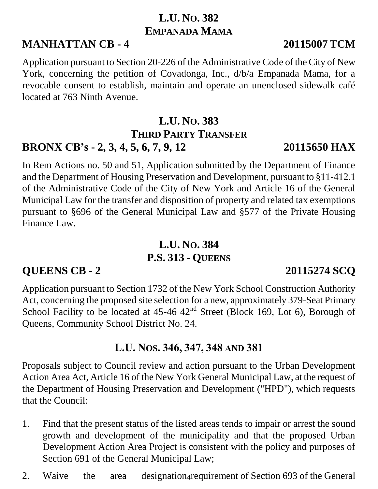## **L.U. NO. 382 EMPANADA MAMA**

## **MANHATTAN CB - 4 20115007 TCM**

Application pursuant to Section 20-226 of the Administrative Code of the City of New York, concerning the petition of Covadonga, Inc., d/b/a Empanada Mama, for a revocable consent to establish, maintain and operate an unenclosed sidewalk café located at 763 Ninth Avenue.

## **L.U. NO. 383 THIRD PARTY TRANSFER BRONX CB's - 2, 3, 4, 5, 6, 7, 9, 12 20115650 HAX**

In Rem Actions no. 50 and 51, Application submitted by the Department of Finance and the Department of Housing Preservation and Development, pursuant to §11-412.1 of the Administrative Code of the City of New York and Article 16 of the General Municipal Law for the transfer and disposition of property and related tax exemptions pursuant to §696 of the General Municipal Law and §577 of the Private Housing Finance Law.

## **L.U. NO. 384 P.S. 313 - QUEENS**

## **QUEENS CB - 2 20115274 SCQ**

Application pursuant to Section 1732 of the New York School Construction Authority Act, concerning the proposed site selection for a new, approximately 379-Seat Primary School Facility to be located at  $45-46$   $42<sup>nd</sup>$  Street (Block 169, Lot 6), Borough of Queens, Community School District No. 24.

## **L.U. NOS. 346, 347, 348 AND 381**

Proposals subject to Council review and action pursuant to the Urban Development Action Area Act, Article 16 of the New York General Municipal Law, at the request of the Department of Housing Preservation and Development ("HPD"), which requests that the Council:

- 1. Find that the present status of the listed areas tends to impair or arrest the sound growth and development of the municipality and that the proposed Urban Development Action Area Project is consistent with the policy and purposes of Section 691 of the General Municipal Law;
- 2. Waive the area designation-requirement of Section 693 of the General